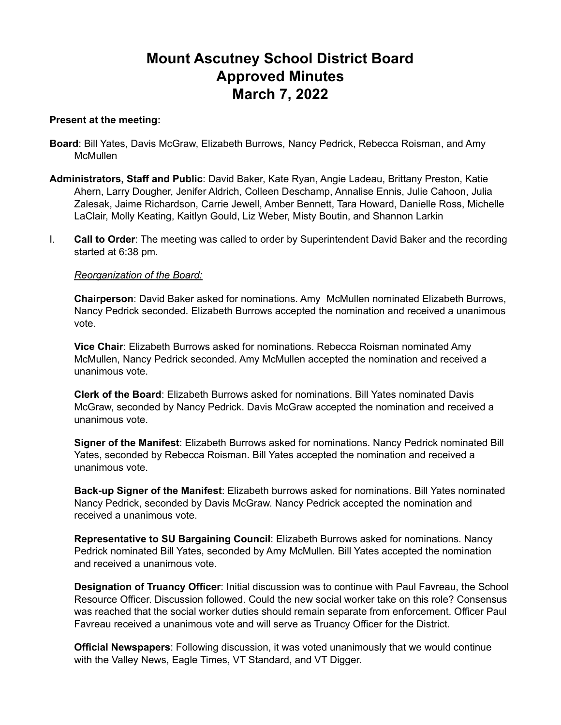# **Mount Ascutney School District Board Approved Minutes March 7, 2022**

#### **Present at the meeting:**

- **Board**: Bill Yates, Davis McGraw, Elizabeth Burrows, Nancy Pedrick, Rebecca Roisman, and Amy **McMullen**
- **Administrators, Staff and Public**: David Baker, Kate Ryan, Angie Ladeau, Brittany Preston, Katie Ahern, Larry Dougher, Jenifer Aldrich, Colleen Deschamp, Annalise Ennis, Julie Cahoon, Julia Zalesak, Jaime Richardson, Carrie Jewell, Amber Bennett, Tara Howard, Danielle Ross, Michelle LaClair, Molly Keating, Kaitlyn Gould, Liz Weber, Misty Boutin, and Shannon Larkin
- I. **Call to Order**: The meeting was called to order by Superintendent David Baker and the recording started at 6:38 pm.

# *Reorganization of the Board:*

**Chairperson**: David Baker asked for nominations. Amy McMullen nominated Elizabeth Burrows, Nancy Pedrick seconded. Elizabeth Burrows accepted the nomination and received a unanimous vote.

**Vice Chair**: Elizabeth Burrows asked for nominations. Rebecca Roisman nominated Amy McMullen, Nancy Pedrick seconded. Amy McMullen accepted the nomination and received a unanimous vote.

**Clerk of the Board**: Elizabeth Burrows asked for nominations. Bill Yates nominated Davis McGraw, seconded by Nancy Pedrick. Davis McGraw accepted the nomination and received a unanimous vote.

**Signer of the Manifest**: Elizabeth Burrows asked for nominations. Nancy Pedrick nominated Bill Yates, seconded by Rebecca Roisman. Bill Yates accepted the nomination and received a unanimous vote.

**Back-up Signer of the Manifest**: Elizabeth burrows asked for nominations. Bill Yates nominated Nancy Pedrick, seconded by Davis McGraw. Nancy Pedrick accepted the nomination and received a unanimous vote.

**Representative to SU Bargaining Council**: Elizabeth Burrows asked for nominations. Nancy Pedrick nominated Bill Yates, seconded by Amy McMullen. Bill Yates accepted the nomination and received a unanimous vote.

**Designation of Truancy Officer**: Initial discussion was to continue with Paul Favreau, the School Resource Officer. Discussion followed. Could the new social worker take on this role? Consensus was reached that the social worker duties should remain separate from enforcement. Officer Paul Favreau received a unanimous vote and will serve as Truancy Officer for the District.

**Official Newspapers**: Following discussion, it was voted unanimously that we would continue with the Valley News, Eagle Times, VT Standard, and VT Digger.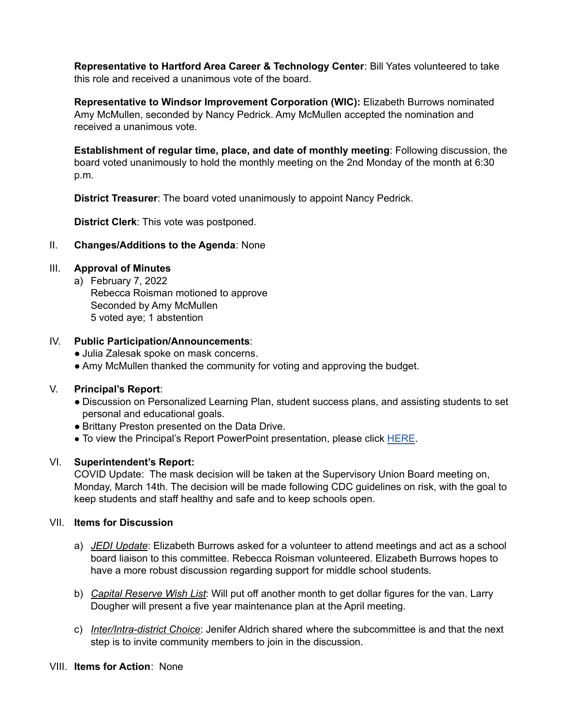**Representative to Hartford Area Career & Technology Center**: Bill Yates volunteered to take this role and received a unanimous vote of the board.

**Representative to Windsor Improvement Corporation (WIC):** Elizabeth Burrows nominated Amy McMullen, seconded by Nancy Pedrick. Amy McMullen accepted the nomination and received a unanimous vote.

**Establishment of regular time, place, and date of monthly meeting**: Following discussion, the board voted unanimously to hold the monthly meeting on the 2nd Monday of the month at 6:30 p.m.

**District Treasurer**: The board voted unanimously to appoint Nancy Pedrick.

**District Clerk**: This vote was postponed.

# II. **Changes/Additions to the Agenda**: None

# III. **Approval of Minutes**

a) February 7, 2022 Rebecca Roisman motioned to approve Seconded by Amy McMullen 5 voted aye; 1 abstention

# IV. **Public Participation/Announcements**:

- Julia Zalesak spoke on mask concerns.
- Amy McMullen thanked the community for voting and approving the budget.

#### V. **Principal's Report**:

- Discussion on Personalized Learning Plan, student success plans, and assisting students to set personal and educational goals.
- Brittany Preston presented on the Data Drive.
- To view the Principal's Report PowerPoint presentation, please click [HERE](https://drive.google.com/file/d/1ctd5nhCuz2mPNzKCNeiCE_tW6ByeJfha/view?usp=sharing).

#### VI. **Superintendent's Report:**

COVID Update: The mask decision will be taken at the Supervisory Union Board meeting on, Monday, March 14th. The decision will be made following CDC guidelines on risk, with the goal to keep students and staff healthy and safe and to keep schools open.

#### VII. **Items for Discussion**

- a) *JEDI Update*: Elizabeth Burrows asked for a volunteer to attend meetings and act as a school board liaison to this committee. Rebecca Roisman volunteered. Elizabeth Burrows hopes to have a more robust discussion regarding support for middle school students.
- b) *Capital Reserve Wish List*: Will put off another month to get dollar figures for the van. Larry Dougher will present a five year maintenance plan at the April meeting.
- c) *Inter/Intra-district Choice*: Jenifer Aldrich shared where the subcommittee is and that the next step is to invite community members to join in the discussion.

# VIII. **Items for Action**: None